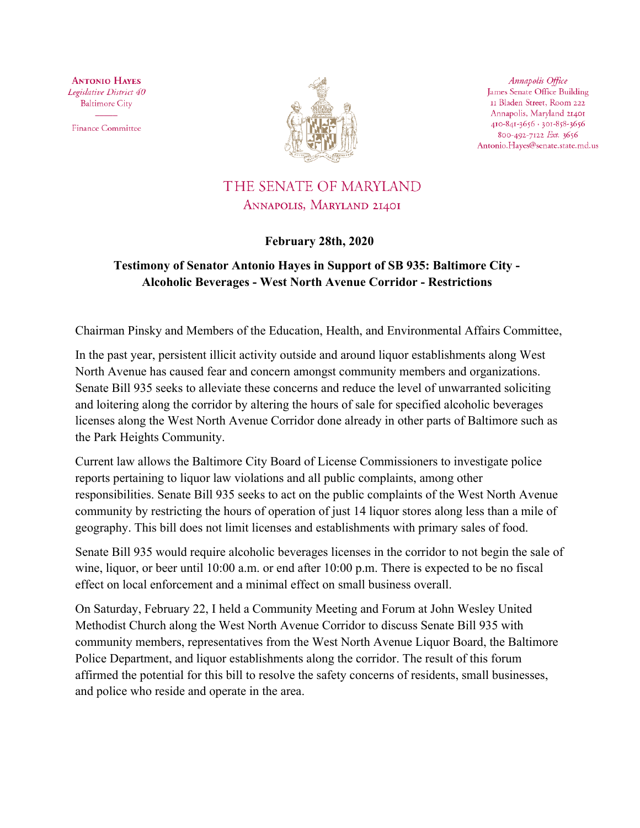**ANTONIO HAYES** Legislative District 40 **Baltimore City** 

**Finance Committee** 



Annapolis Office James Senate Office Building II Bladen Street, Room 222 Annapolis, Maryland 21401 410-841-3656 · 301-858-3656 800-492-7122 Ext. 3656 Antonio.Hayes@senate.state.md.us

## THE SENATE OF MARYLAND ANNAPOLIS, MARYLAND 21401

## **February 28th, 2020**

## **Testimony of Senator Antonio Hayes in Support of SB 935: Baltimore City - Alcoholic Beverages - West North Avenue Corridor - Restrictions**

Chairman Pinsky and Members of the Education, Health, and Environmental Affairs Committee,

In the past year, persistent illicit activity outside and around liquor establishments along West North Avenue has caused fear and concern amongst community members and organizations. Senate Bill 935 seeks to alleviate these concerns and reduce the level of unwarranted soliciting and loitering along the corridor by altering the hours of sale for specified alcoholic beverages licenses along the West North Avenue Corridor done already in other parts of Baltimore such as the Park Heights Community.

Current law allows the Baltimore City Board of License Commissioners to investigate police reports pertaining to liquor law violations and all public complaints, among other responsibilities. Senate Bill 935 seeks to act on the public complaints of the West North Avenue community by restricting the hours of operation of just 14 liquor stores along less than a mile of geography. This bill does not limit licenses and establishments with primary sales of food.

Senate Bill 935 would require alcoholic beverages licenses in the corridor to not begin the sale of wine, liquor, or beer until 10:00 a.m. or end after 10:00 p.m. There is expected to be no fiscal effect on local enforcement and a minimal effect on small business overall.

On Saturday, February 22, I held a Community Meeting and Forum at John Wesley United Methodist Church along the West North Avenue Corridor to discuss Senate Bill 935 with community members, representatives from the West North Avenue Liquor Board, the Baltimore Police Department, and liquor establishments along the corridor. The result of this forum affirmed the potential for this bill to resolve the safety concerns of residents, small businesses, and police who reside and operate in the area.